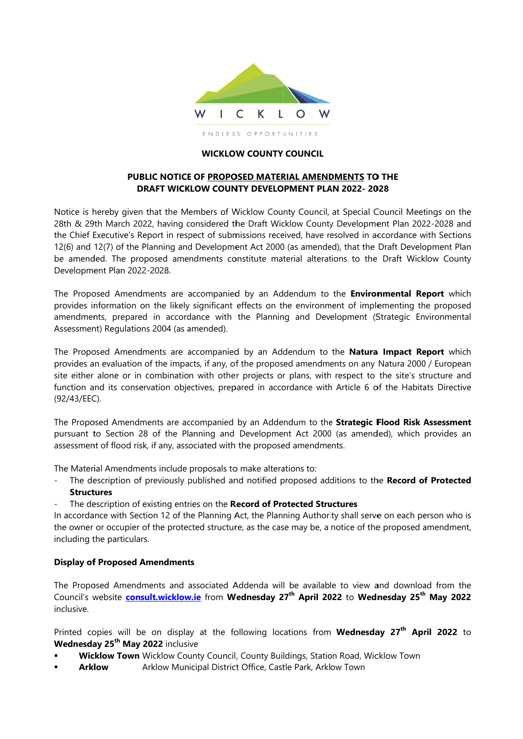

#### **WICKLOW COUNTY COUNCIL**

## PUBLIC NOTICE OF PROPOSED MATERIAL AMENDMENTS TO THE **DRAFT WICKLOW COUNTY DEVELOPMENT PLAN 2022-2028**

Notice is hereby given that the Members of Wicklow County Council, at Special Council Meetings on the 28th & 29th March 2022, having considered the Draft Wicklow County Development Plan 2022-2028 and the Chief Executive's Report in respect of submissions received, have resolved in accordance with Sections 12(6) and 12(7) of the Planning and Development Act 2000 (as amended), that the Draft Development Plan be amended. The proposed amendments constitute material alterations to the Draft Wicklow County Development Plan 2022-2028.

The Proposed Amendments are accompanied by an Addendum to the Environmental Report which provides information on the likely significant effects on the environment of implementing the proposed amendments, prepared in accordance with the Planning and Development (Strategic Environmental Assessment) Regulations 2004 (as amended).

The Proposed Amendments are accompanied by an Addendum to the **Natura Impact Report** which provides an evaluation of the impacts, if any, of the proposed amendments on any Natura 2000 / European site either alone or in combination with other projects or plans, with respect to the site's structure and function and its conservation objectives, prepared in accordance with Article 6 of the Habitats Directive (92/43/EEC).

The Proposed Amendments are accompanied by an Addendum to the Strategic Flood Risk Assessment pursuant to Section 28 of the Planning and Development Act 2000 (as amended), which provides an assessment of flood risk, if any, associated with the proposed amendments.

The Material Amendments include proposals to make alterations to:

- The description of previously published and notified proposed additions to the Record of Protected  $\overline{a}$ **Structures**
- The description of existing entries on the Record of Protected Structures

In accordance with Section 12 of the Planning Act, the Planning Authority shall serve on each person who is the owner or occupier of the protected structure, as the case may be, a notice of the proposed amendment, including the particulars.

## **Display of Proposed Amendments**

The Proposed Amendments and associated Addenda will be available to view and download from the Council's website consult.wicklow.ie from Wednesday 27<sup>th</sup> April 2022 to Wednesday 25<sup>th</sup> May 2022 inclusive.

Printed copies will be on display at the following locations from Wednesday 27<sup>th</sup> April 2022 to **Wednesday 25<sup>th</sup> May 2022** inclusive

- Wicklow Town Wicklow County Council, County Buildings, Station Road, Wicklow Town
- **Arklow** Arklow Municipal District Office, Castle Park, Arklow Town